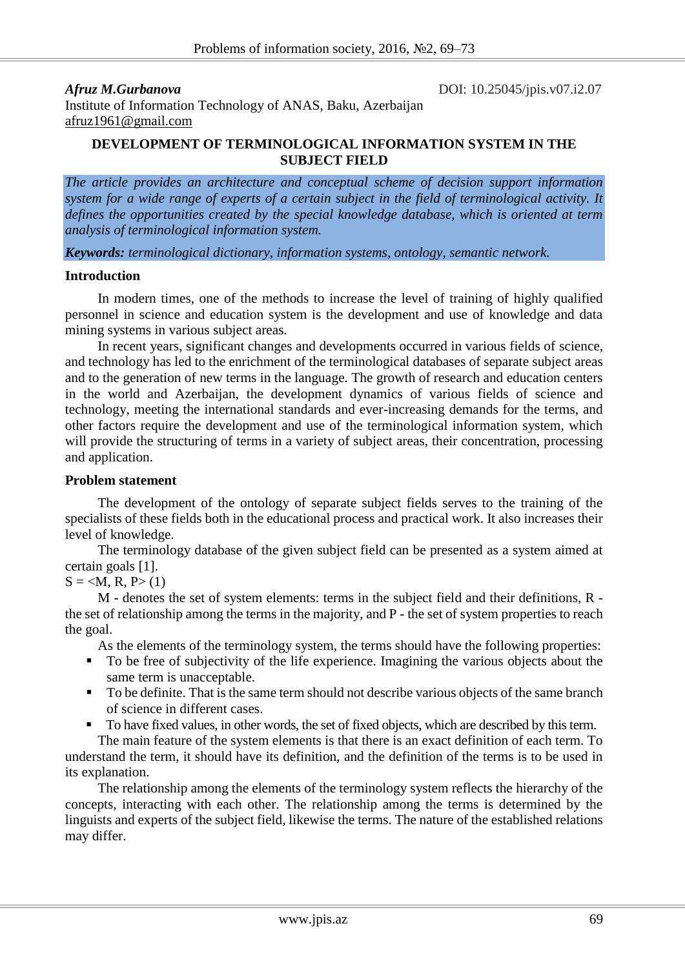*Afruz M.Gurbanova* DOI: 10.25045/jpis.v07.i2.07

Institute of Information Technology of ANAS, Baku, Azerbaijan [afruz1961@gmail.com](mailto:afruz1961@gmail.com)

## **DEVELOPMENT OF TERMINOLOGICAL INFORMATION SYSTEM IN THE SUBJECT FIELD**

*The article provides an architecture and conceptual scheme of decision support information system for a wide range of experts of a certain subject in the field of terminological activity. It defines the opportunities created by the special knowledge database, which is oriented at term analysis of terminological information system.*

*Keywords: terminological dictionary, information systems, ontology, semantic network.*

#### **Introduction**

In modern times, one of the methods to increase the level of training of highly qualified personnel in science and education system is the development and use of knowledge and data mining systems in various subject areas.

In recent years, significant changes and developments occurred in various fields of science, and technology has led to the enrichment of the terminological databases of separate subject areas and to the generation of new terms in the language. The growth of research and education centers in the world and Azerbaijan, the development dynamics of various fields of science and technology, meeting the international standards and ever-increasing demands for the terms, and other factors require the development and use of the terminological information system, which will provide the structuring of terms in a variety of subject areas, their concentration, processing and application.

## **Problem statement**

The development of the ontology of separate subject fields serves to the training of the specialists of these fields both in the educational process and practical work. It also increases their level of knowledge.

The terminology database of the given subject field can be presented as a system aimed at certain goals [1].

# $S = \langle M, R, P \rangle$  (1)

M - denotes the set of system elements: terms in the subject field and their definitions, R the set of relationship among the terms in the majority, and P - the set of system properties to reach the goal.

As the elements of the terminology system, the terms should have the following properties:

- To be free of subjectivity of the life experience. Imagining the various objects about the same term is unacceptable.
- To be definite. That is the same term should not describe various objects of the same branch of science in different cases.
- To have fixed values, in other words, the set of fixed objects, which are described by this term.

The main feature of the system elements is that there is an exact definition of each term. To understand the term, it should have its definition, and the definition of the terms is to be used in its explanation.

The relationship among the elements of the terminology system reflects the hierarchy of the concepts, interacting with each other. The relationship among the terms is determined by the linguists and experts of the subject field, likewise the terms. The nature of the established relations may differ.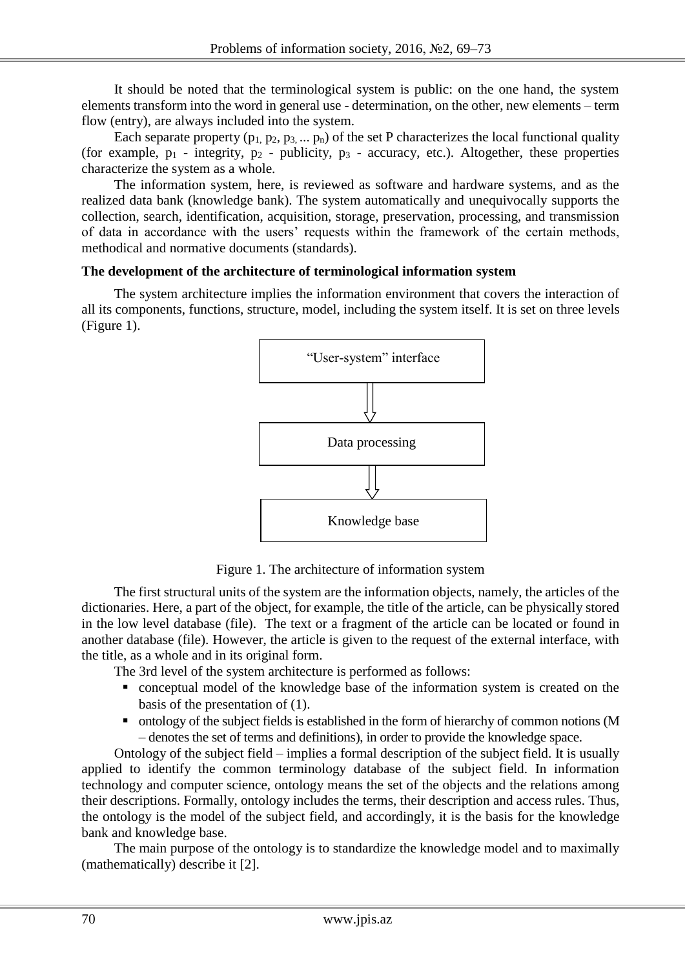It should be noted that the terminological system is public: on the one hand, the system elements transform into the word in general use - determination, on the other, new elements – term flow (entry), are always included into the system.

Each separate property ( $p_1, p_2, p_3, \ldots, p_n$ ) of the set P characterizes the local functional quality (for example,  $p_1$  - integrity,  $p_2$  - publicity,  $p_3$  - accuracy, etc.). Altogether, these properties characterize the system as a whole.

The information system, here, is reviewed as software and hardware systems, and as the realized data bank (knowledge bank). The system automatically and unequivocally supports the collection, search, identification, acquisition, storage, preservation, processing, and transmission of data in accordance with the users' requests within the framework of the certain methods, methodical and normative documents (standards).

# **The development of the architecture of terminological information system**

The system architecture implies the information environment that covers the interaction of all its components, functions, structure, model, including the system itself. It is set on three levels (Figure 1).



Figure 1. The architecture of information system

The first structural units of the system are the information objects, namely, the articles of the dictionaries. Here, a part of the object, for example, the title of the article, can be physically stored in the low level database (file). The text or a fragment of the article can be located or found in another database (file). However, the article is given to the request of the external interface, with the title, as a whole and in its original form.

The 3rd level of the system architecture is performed as follows:

- conceptual model of the knowledge base of the information system is created on the basis of the presentation of (1).
- ontology of the subject fields is established in the form of hierarchy of common notions (M – denotes the set of terms and definitions), in order to provide the knowledge space.

Ontology of the subject field – implies a formal description of the subject field. It is usually applied to identify the common terminology database of the subject field. In information technology and computer science, ontology means the set of the objects and the relations among their descriptions. Formally, ontology includes the terms, their description and access rules. Thus, the ontology is the model of the subject field, and accordingly, it is the basis for the knowledge bank and knowledge base.

The main purpose of the ontology is to standardize the knowledge model and to maximally (mathematically) describe it [2].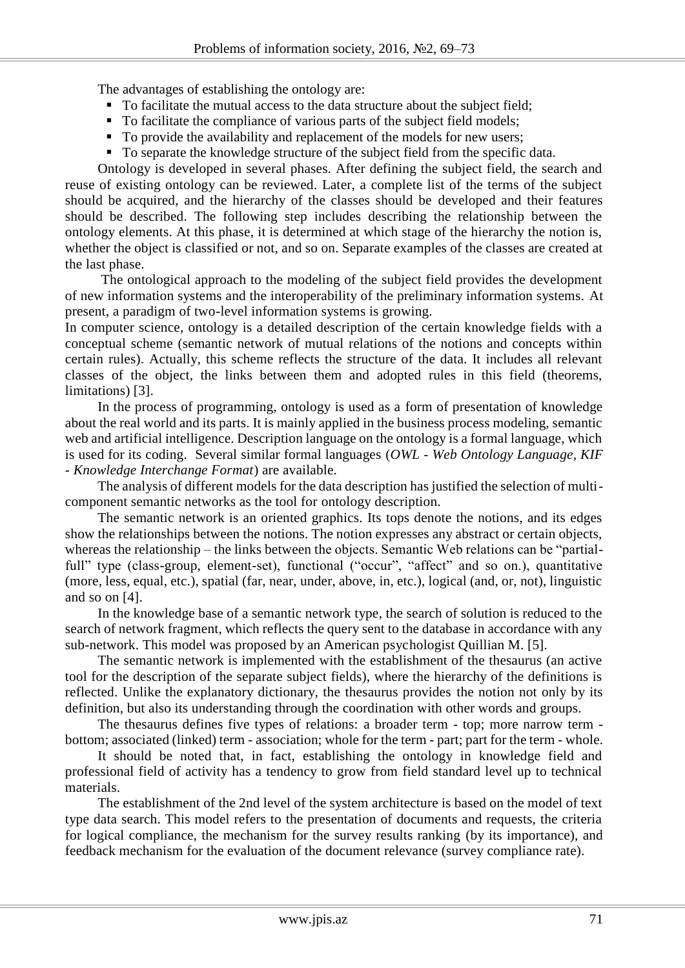The advantages of establishing the ontology are:

- To facilitate the mutual access to the data structure about the subject field;
- To facilitate the compliance of various parts of the subject field models;
- To provide the availability and replacement of the models for new users;
- To separate the knowledge structure of the subject field from the specific data.

Ontology is developed in several phases. After defining the subject field, the search and reuse of existing ontology can be reviewed. Later, a complete list of the terms of the subject should be acquired, and the hierarchy of the classes should be developed and their features should be described. The following step includes describing the relationship between the ontology elements. At this phase, it is determined at which stage of the hierarchy the notion is, whether the object is classified or not, and so on. Separate examples of the classes are created at the last phase.

The ontological approach to the modeling of the subject field provides the development of new information systems and the interoperability of the preliminary information systems. At present, a paradigm of two-level information systems is growing.

In computer science, ontology is a detailed description of the certain knowledge fields with a conceptual scheme (semantic network of mutual relations of the notions and concepts within certain rules). Actually, this scheme reflects the structure of the data. It includes all relevant classes of the object, the links between them and adopted rules in this field (theorems, limitations) [3].

In the process of programming, ontology is used as a form of presentation of knowledge about the real world and its parts. It is mainly applied in the business process modeling, semantic web and artificial intelligence. Description language on the ontology is a formal language, which is used for its coding. Several similar formal languages (*OWL - Web Ontology Language, KIF - Knowledge Interchange Format*) are available.

The analysis of different models for the data description has justified the selection of multicomponent semantic networks as the tool for ontology description.

The semantic network is an oriented graphics. Its tops denote the notions, and its edges show the relationships between the notions. The notion expresses any abstract or certain objects, whereas the relationship – the links between the objects. Semantic Web relations can be "partialfull" type (class-group, element-set), functional ("occur", "affect" and so on.), quantitative (more, less, equal, etc.), spatial (far, near, under, above, in, etc.), logical (and, or, not), linguistic and so on [4].

In the knowledge base of a semantic network type, the search of solution is reduced to the search of network fragment, which reflects the query sent to the database in accordance with any sub-network. This model was proposed by an American psychologist Quillian M. [5].

The semantic network is implemented with the establishment of the thesaurus (an active tool for the description of the separate subject fields), where the hierarchy of the definitions is reflected. Unlike the explanatory dictionary, the thesaurus provides the notion not only by its definition, but also its understanding through the coordination with other words and groups.

The thesaurus defines five types of relations: a broader term - top; more narrow term bottom; associated (linked) term - association; whole for the term - part; part for the term - whole.

It should be noted that, in fact, establishing the ontology in knowledge field and professional field of activity has a tendency to grow from field standard level up to technical materials.

The establishment of the 2nd level of the system architecture is based on the model of text type data search. This model refers to the presentation of documents and requests, the criteria for logical compliance, the mechanism for the survey results ranking (by its importance), and feedback mechanism for the evaluation of the document relevance (survey compliance rate).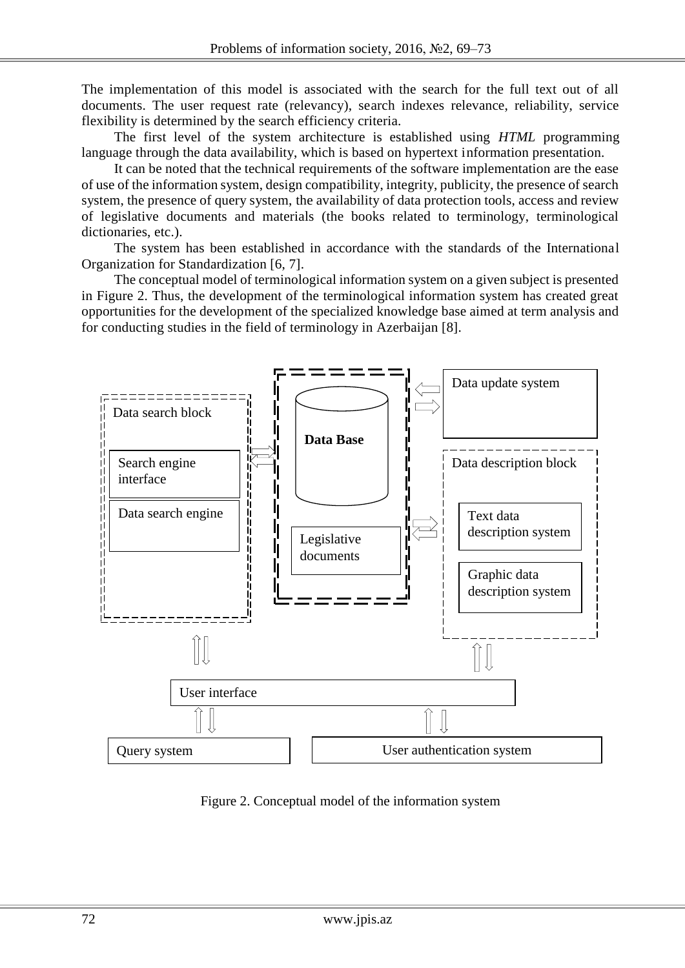The implementation of this model is associated with the search for the full text out of all documents. The user request rate (relevancy), search indexes relevance, reliability, service flexibility is determined by the search efficiency criteria.

The first level of the system architecture is established using *HTML* programming language through the data availability, which is based on hypertext information presentation.

It can be noted that the technical requirements of the software implementation are the ease of use of the information system, design compatibility, integrity, publicity, the presence of search system, the presence of query system, the availability of data protection tools, access and review of legislative documents and materials (the books related to terminology, terminological dictionaries, etc.).

The system has been established in accordance with the standards of the International Organization for Standardization [6, 7].

The conceptual model of terminological information system on a given subject is presented in Figure 2. Thus, the development of the terminological information system has created great opportunities for the development of the specialized knowledge base aimed at term analysis and for conducting studies in the field of terminology in Azerbaijan [8].



Figure 2. Conceptual model of the information system